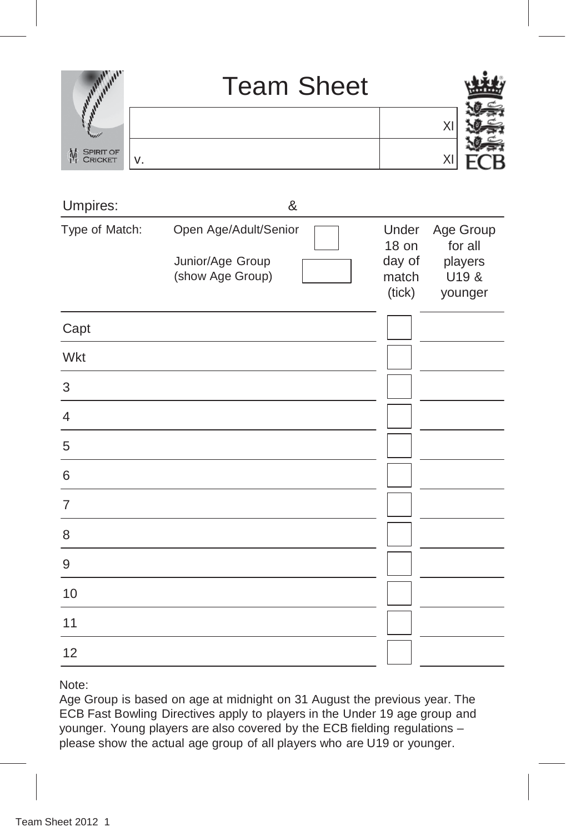|                                         | <b>Team Sheet</b> |  |
|-----------------------------------------|-------------------|--|
|                                         |                   |  |
| <b>SPIRIT OF</b><br>M<br><b>CRICKET</b> |                   |  |
|                                         |                   |  |

| Umpires:       |                                                               | & |                                             |                                                     |
|----------------|---------------------------------------------------------------|---|---------------------------------------------|-----------------------------------------------------|
| Type of Match: | Open Age/Adult/Senior<br>Junior/Age Group<br>(show Age Group) |   | Under<br>18 on<br>day of<br>match<br>(tick) | Age Group<br>for all<br>players<br>U19 &<br>younger |
| Capt           |                                                               |   |                                             |                                                     |
| Wkt            |                                                               |   |                                             |                                                     |
| 3              |                                                               |   |                                             |                                                     |
| 4              |                                                               |   |                                             |                                                     |
| 5              |                                                               |   |                                             |                                                     |
| 6              |                                                               |   |                                             |                                                     |
| 7              |                                                               |   |                                             |                                                     |
| 8              |                                                               |   |                                             |                                                     |
| 9              |                                                               |   |                                             |                                                     |
| 10             |                                                               |   |                                             |                                                     |
| 11             |                                                               |   |                                             |                                                     |
| 12             |                                                               |   |                                             |                                                     |

Note:

Age Group is based on age at midnight on 31 August the previous year. The ECB Fast Bowling Directives apply to players in the Under 19 age group and younger. Young players are also covered by the ECB fielding regulations – please show the actual age group of all players who are U19 or younger.